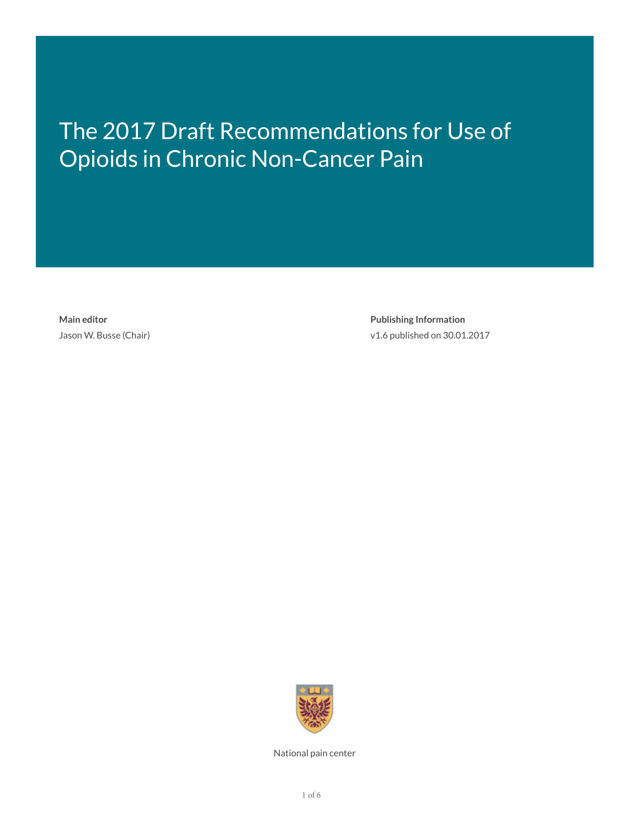# The 2017 Draft Recommendations for Use of Opioids in Chronic Non-Cancer Pain

**Main editor** Jason W. Busse (Chair)

**Publishing Information** v1.6 published on 30.01.2017



National pain center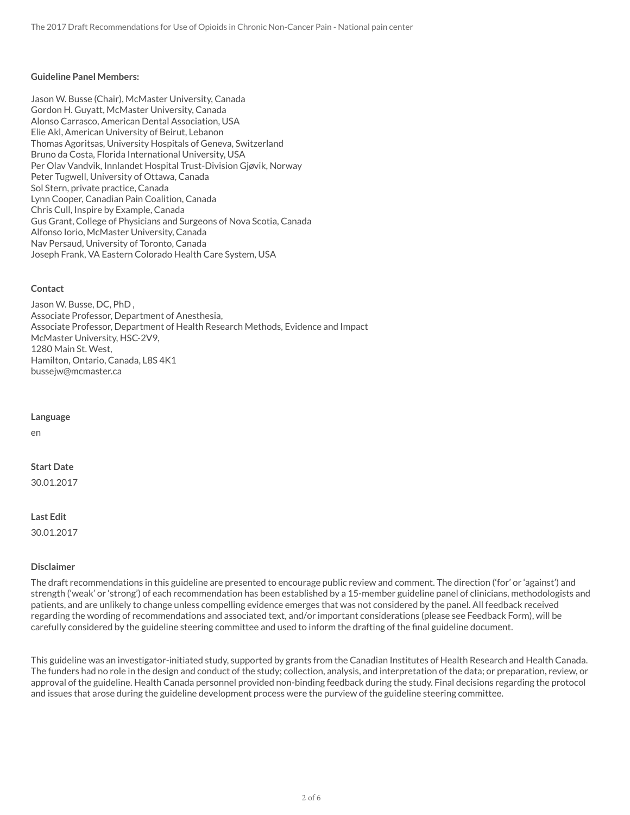#### **Guideline Panel Members:**

Jason W. Busse (Chair), McMaster University, Canada Gordon H. Guyatt, McMaster University, Canada Alonso Carrasco, American Dental Association, USA Elie Akl, American University of Beirut, Lebanon Thomas Agoritsas, University Hospitals of Geneva, Switzerland Bruno da Costa, Florida International University, USA Per Olav Vandvik, Innlandet Hospital Trust-Division Gjøvik, Norway Peter Tugwell, University of Ottawa, Canada Sol Stern, private practice, Canada Lynn Cooper, Canadian Pain Coalition, Canada Chris Cull, Inspire by Example, Canada Gus Grant, College of Physicians and Surgeons of Nova Scotia, Canada Alfonso Iorio, McMaster University, Canada Nav Persaud, University of Toronto, Canada Joseph Frank, VA Eastern Colorado Health Care System, USA

#### **Contact**

Jason W. Busse, DC, PhD , Associate Professor, Department of Anesthesia, Associate Professor, Department of Health Research Methods, Evidence and Impact McMaster University, HSC-2V9, 1280 Main St. West, Hamilton, Ontario, Canada, L8S 4K1 bussejw@mcmaster.ca

#### **Language**

en

#### **Start Date**

30.01.2017

#### **Last Edit**

30.01.2017

#### **Disclaimer**

The draft recommendations in this guideline are presented to encourage public review and comment. The direction ('for' or 'against') and strength ('weak' or 'strong') of each recommendation has been established by a 15-member guideline panel of clinicians, methodologists and patients, and are unlikely to change unless compelling evidence emerges that was not considered by the panel. All feedback received regarding the wording of recommendations and associated text, and/or important considerations (please see Feedback Form), will be carefully considered by the guideline steering committee and used to inform the drafting of the final guideline document.

This guideline was an investigator-initiated study, supported by grants from the Canadian Institutes of Health Research and Health Canada. The funders had no role in the design and conduct of the study; collection, analysis, and interpretation of the data; or preparation, review, or approval of the guideline. Health Canada personnel provided non-binding feedback during the study. Final decisions regarding the protocol and issues that arose during the guideline development process were the purview of the guideline steering committee.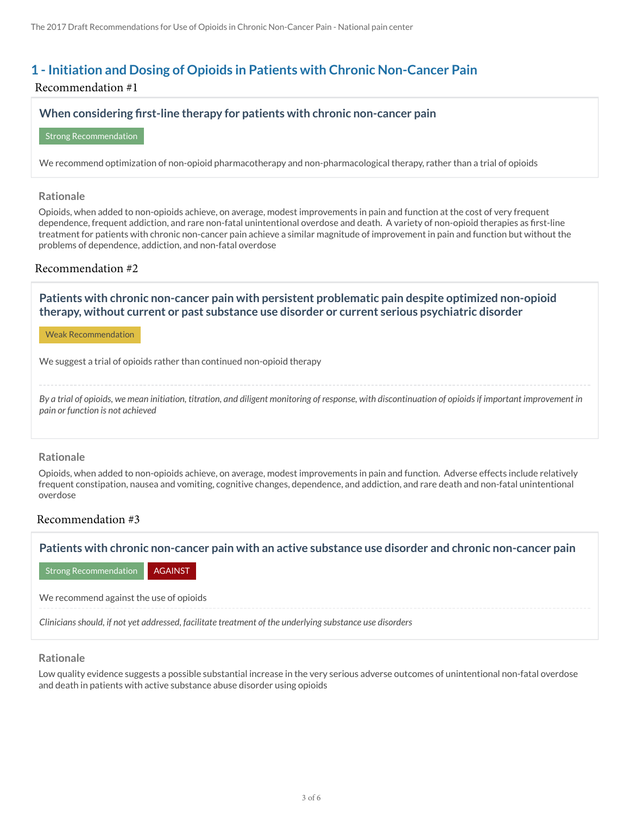# **1 - Initiation and Dosing of Opioids in Patients with Chronic Non-Cancer Pain**

# Recommendation #1

# **When considering 1rst-line therapy for patients with chronic non-cancer pain**

Strong Recommendation

We recommend optimization of non-opioid pharmacotherapy and non-pharmacological therapy, rather than a trial of opioids

#### **Rationale**

Opioids, when added to non-opioids achieve, on average, modest improvements in pain and function at the cost of very frequent dependence, frequent addiction, and rare non-fatal unintentional overdose and death. A variety of non-opioid therapies as first-line treatment for patients with chronic non-cancer pain achieve a similar magnitude of improvement in pain and function but without the problems of dependence, addiction, and non-fatal overdose

# Recommendation #2

**Patients with chronic non-cancer pain with persistent problematic pain despite optimized non-opioid therapy, without current or past substance use disorder or current serious psychiatric disorder**

Weak Recommendation

We suggest a trial of opioids rather than continued non-opioid therapy

*By a trial of opioids, we mean initiation, titration, and diligent monitoring of response, with discontinuation of opioids if important improvement in pain or function is not achieved*

# **Rationale**

Opioids, when added to non-opioids achieve, on average, modest improvements in pain and function. Adverse effects include relatively frequent constipation, nausea and vomiting, cognitive changes, dependence, and addiction, and rare death and non-fatal unintentional overdose

# Recommendation #3

**Patients with chronic non-cancer pain with an active substance use disorder and chronic non-cancer pain**

Strong Recommendation **AGAINST** 

We recommend against the use of opioids

*Clinicians should, if not yet addressed, facilitate treatment of the underlying substance use disorders*

# **Rationale**

Low quality evidence suggests a possible substantial increase in the very serious adverse outcomes of unintentional non-fatal overdose and death in patients with active substance abuse disorder using opioids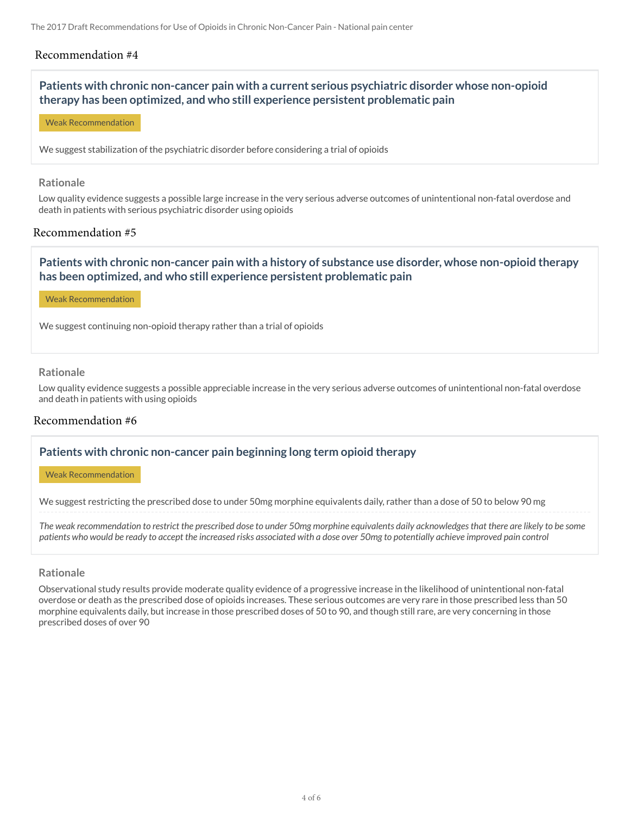# Recommendation #4

# **Patients with chronic non-cancer pain with a current serious psychiatric disorder whose non-opioid therapy has been optimized, and who still experience persistent problematic pain**

Weak Recommendation

We suggest stabilization of the psychiatric disorder before considering a trial of opioids

#### **Rationale**

Low quality evidence suggests a possible large increase in the very serious adverse outcomes of unintentional non-fatal overdose and death in patients with serious psychiatric disorder using opioids

# Recommendation #5

# **Patients with chronic non-cancer pain with a history of substance use disorder, whose non-opioid therapy has been optimized, and who still experience persistent problematic pain**

Weak Recommendation

We suggest continuing non-opioid therapy rather than a trial of opioids

#### **Rationale**

Low quality evidence suggests a possible appreciable increase in the very serious adverse outcomes of unintentional non-fatal overdose and death in patients with using opioids

#### Recommendation #6

# **Patients with chronic non-cancer pain beginning long term opioid therapy**

Weak Recommendation

We suggest restricting the prescribed dose to under 50mg morphine equivalents daily, rather than a dose of 50 to below 90 mg

*The weak recommendation to restrict the prescribed dose to under 50mg morphine equivalents daily acknowledges that there are likely to be some patients who would be ready to accept the increased risks associated with a dose over 50mg to potentially achieve improved pain control*

#### **Rationale**

Observational study results provide moderate quality evidence of a progressive increase in the likelihood of unintentional non-fatal overdose or death as the prescribed dose of opioids increases. These serious outcomes are very rare in those prescribed less than 50 morphine equivalents daily, but increase in those prescribed doses of 50 to 90, and though still rare, are very concerning in those prescribed doses of over 90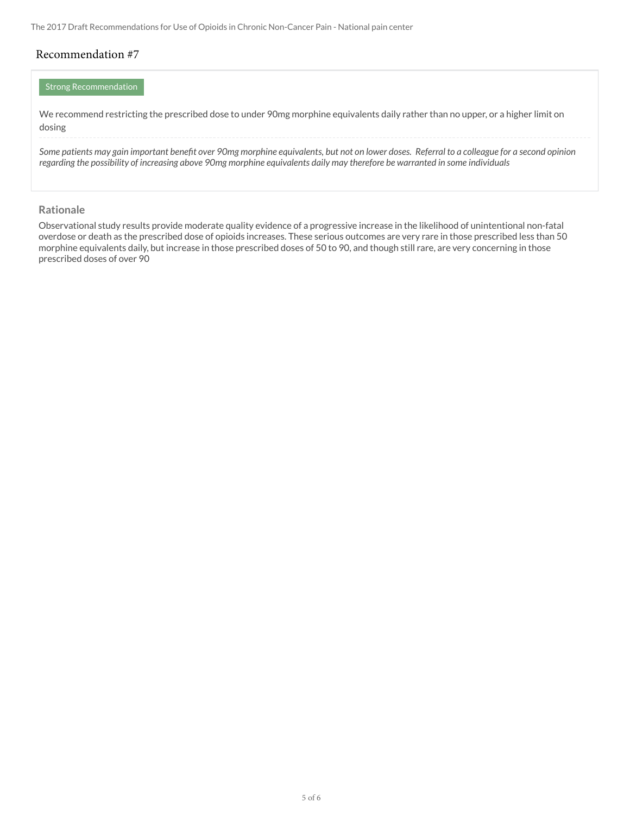The 2017 Draft Recommendations for Use of Opioids in Chronic Non-Cancer Pain - National pain center

# Recommendation #7

# Strong Recommendation

We recommend restricting the prescribed dose to under 90mg morphine equivalents daily rather than no upper, or a higher limit on dosing

Some patients may gain important benefit over 90mg morphine equivalents, but not on lower doses. Referral to a colleague for a second opinion *regarding the possibility of increasing above 90mg morphine equivalents daily may therefore be warranted in some individuals*

#### **Rationale**

Observational study results provide moderate quality evidence of a progressive increase in the likelihood of unintentional non-fatal overdose or death as the prescribed dose of opioids increases. These serious outcomes are very rare in those prescribed less than 50 morphine equivalents daily, but increase in those prescribed doses of 50 to 90, and though still rare, are very concerning in those prescribed doses of over 90